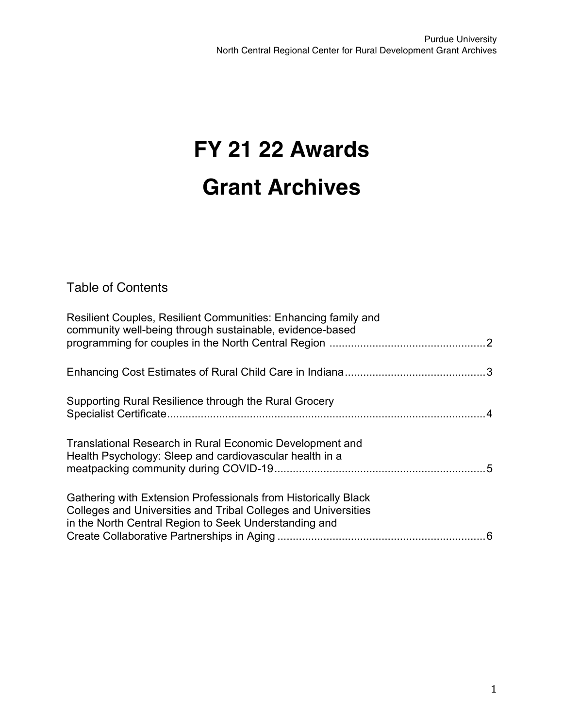# **FY 21 22 Awards Grant Archives**

Table of Contents

| Resilient Couples, Resilient Communities: Enhancing family and<br>community well-being through sustainable, evidence-based                                                                |  |
|-------------------------------------------------------------------------------------------------------------------------------------------------------------------------------------------|--|
|                                                                                                                                                                                           |  |
| Supporting Rural Resilience through the Rural Grocery                                                                                                                                     |  |
| Translational Research in Rural Economic Development and<br>Health Psychology: Sleep and cardiovascular health in a                                                                       |  |
| Gathering with Extension Professionals from Historically Black<br>Colleges and Universities and Tribal Colleges and Universities<br>in the North Central Region to Seek Understanding and |  |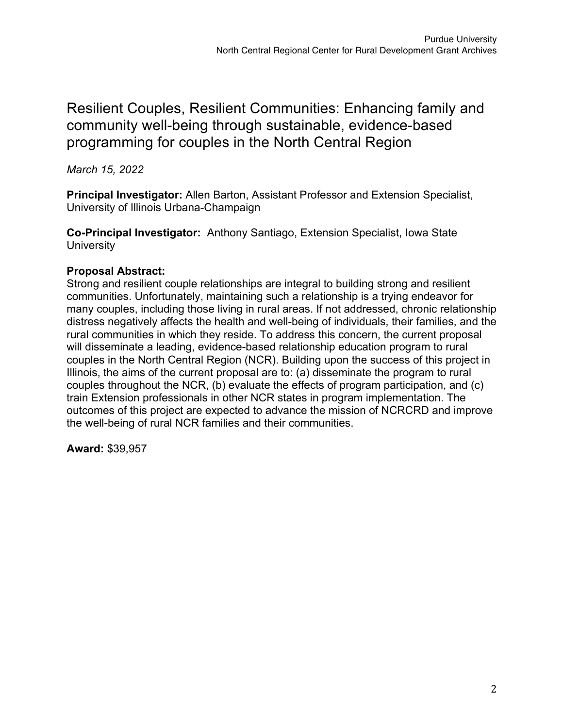## Resilient Couples, Resilient Communities: Enhancing family and community well-being through sustainable, evidence-based programming for couples in the North Central Region

*March 15, 2022*

**Principal Investigator:** Allen Barton, Assistant Professor and Extension Specialist, University of Illinois Urbana-Champaign

**Co-Principal Investigator:** Anthony Santiago, Extension Specialist, Iowa State **University** 

### **Proposal Abstract:**

Strong and resilient couple relationships are integral to building strong and resilient communities. Unfortunately, maintaining such a relationship is a trying endeavor for many couples, including those living in rural areas. If not addressed, chronic relationship distress negatively affects the health and well-being of individuals, their families, and the rural communities in which they reside. To address this concern, the current proposal will disseminate a leading, evidence-based relationship education program to rural couples in the North Central Region (NCR). Building upon the success of this project in Illinois, the aims of the current proposal are to: (a) disseminate the program to rural couples throughout the NCR, (b) evaluate the effects of program participation, and (c) train Extension professionals in other NCR states in program implementation. The outcomes of this project are expected to advance the mission of NCRCRD and improve the well-being of rural NCR families and their communities.

**Award:** \$39,957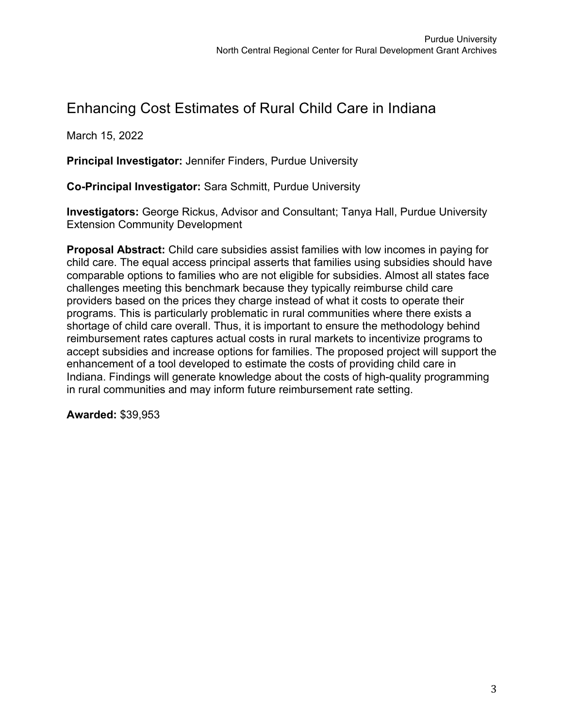## Enhancing Cost Estimates of Rural Child Care in Indiana

March 15, 2022

**Principal Investigator:** Jennifer Finders, Purdue University

**Co-Principal Investigator:** Sara Schmitt, Purdue University

**Investigators:** George Rickus, Advisor and Consultant; Tanya Hall, Purdue University Extension Community Development

**Proposal Abstract:** Child care subsidies assist families with low incomes in paying for child care. The equal access principal asserts that families using subsidies should have comparable options to families who are not eligible for subsidies. Almost all states face challenges meeting this benchmark because they typically reimburse child care providers based on the prices they charge instead of what it costs to operate their programs. This is particularly problematic in rural communities where there exists a shortage of child care overall. Thus, it is important to ensure the methodology behind reimbursement rates captures actual costs in rural markets to incentivize programs to accept subsidies and increase options for families. The proposed project will support the enhancement of a tool developed to estimate the costs of providing child care in Indiana. Findings will generate knowledge about the costs of high-quality programming in rural communities and may inform future reimbursement rate setting.

**Awarded:** \$39,953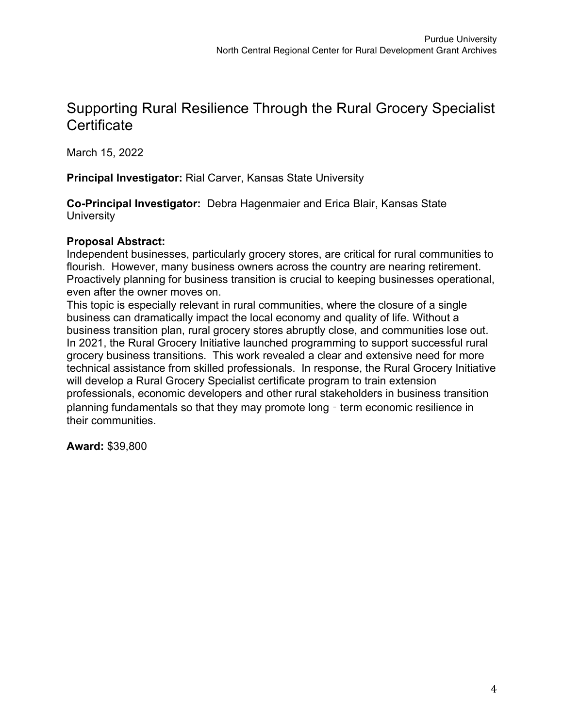## Supporting Rural Resilience Through the Rural Grocery Specialist **Certificate**

March 15, 2022

**Principal Investigator:** Rial Carver, Kansas State University

**Co-Principal Investigator:** Debra Hagenmaier and Erica Blair, Kansas State **University** 

#### **Proposal Abstract:**

Independent businesses, particularly grocery stores, are critical for rural communities to flourish. However, many business owners across the country are nearing retirement. Proactively planning for business transition is crucial to keeping businesses operational, even after the owner moves on.

This topic is especially relevant in rural communities, where the closure of a single business can dramatically impact the local economy and quality of life. Without a business transition plan, rural grocery stores abruptly close, and communities lose out. In 2021, the Rural Grocery Initiative launched programming to support successful rural grocery business transitions. This work revealed a clear and extensive need for more technical assistance from skilled professionals. In response, the Rural Grocery Initiative will develop a Rural Grocery Specialist certificate program to train extension professionals, economic developers and other rural stakeholders in business transition planning fundamentals so that they may promote long - term economic resilience in their communities.

**Award:** \$39,800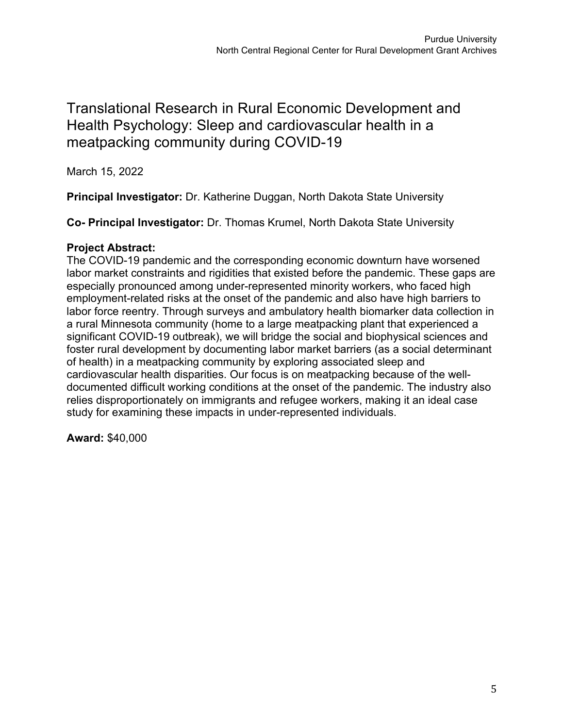## Translational Research in Rural Economic Development and Health Psychology: Sleep and cardiovascular health in a meatpacking community during COVID-19

March 15, 2022

**Principal Investigator:** Dr. Katherine Duggan, North Dakota State University

**Co- Principal Investigator:** Dr. Thomas Krumel, North Dakota State University

#### **Project Abstract:**

The COVID-19 pandemic and the corresponding economic downturn have worsened labor market constraints and rigidities that existed before the pandemic. These gaps are especially pronounced among under-represented minority workers, who faced high employment-related risks at the onset of the pandemic and also have high barriers to labor force reentry. Through surveys and ambulatory health biomarker data collection in a rural Minnesota community (home to a large meatpacking plant that experienced a significant COVID-19 outbreak), we will bridge the social and biophysical sciences and foster rural development by documenting labor market barriers (as a social determinant of health) in a meatpacking community by exploring associated sleep and cardiovascular health disparities. Our focus is on meatpacking because of the welldocumented difficult working conditions at the onset of the pandemic. The industry also relies disproportionately on immigrants and refugee workers, making it an ideal case study for examining these impacts in under-represented individuals.

**Award:** \$40,000